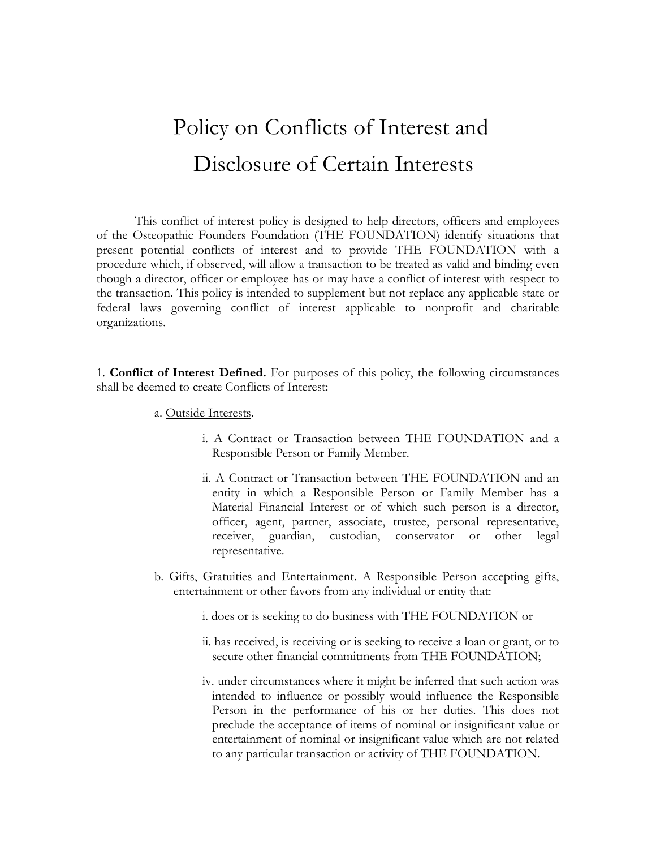# Policy on Conflicts of Interest and Disclosure of Certain Interests

 This conflict of interest policy is designed to help directors, officers and employees of the Osteopathic Founders Foundation (THE FOUNDATION) identify situations that present potential conflicts of interest and to provide THE FOUNDATION with a procedure which, if observed, will allow a transaction to be treated as valid and binding even though a director, officer or employee has or may have a conflict of interest with respect to the transaction. This policy is intended to supplement but not replace any applicable state or federal laws governing conflict of interest applicable to nonprofit and charitable organizations.

1. **Conflict of Interest Defined.** For purposes of this policy, the following circumstances shall be deemed to create Conflicts of Interest:

- a. Outside Interests.
	- i. A Contract or Transaction between THE FOUNDATION and a Responsible Person or Family Member.
	- ii. A Contract or Transaction between THE FOUNDATION and an entity in which a Responsible Person or Family Member has a Material Financial Interest or of which such person is a director, officer, agent, partner, associate, trustee, personal representative, receiver, guardian, custodian, conservator or other legal representative.
- b. Gifts, Gratuities and Entertainment. A Responsible Person accepting gifts, entertainment or other favors from any individual or entity that:
	- i. does or is seeking to do business with THE FOUNDATION or
	- ii. has received, is receiving or is seeking to receive a loan or grant, or to secure other financial commitments from THE FOUNDATION;
	- iv. under circumstances where it might be inferred that such action was intended to influence or possibly would influence the Responsible Person in the performance of his or her duties. This does not preclude the acceptance of items of nominal or insignificant value or entertainment of nominal or insignificant value which are not related to any particular transaction or activity of THE FOUNDATION.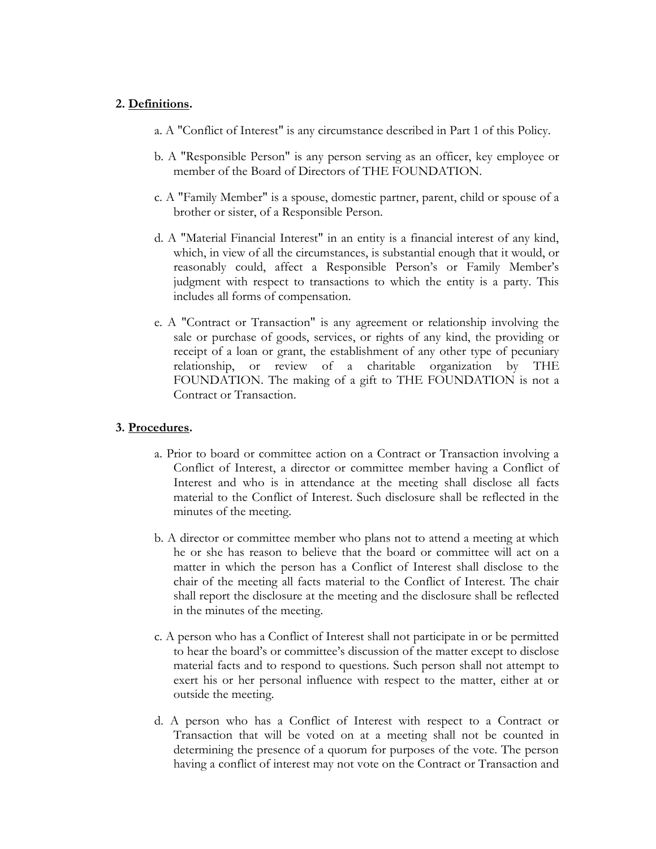# **2. Definitions.**

- a. A "Conflict of Interest" is any circumstance described in Part 1 of this Policy.
- b. A "Responsible Person" is any person serving as an officer, key employee or member of the Board of Directors of THE FOUNDATION.
- c. A "Family Member" is a spouse, domestic partner, parent, child or spouse of a brother or sister, of a Responsible Person.
- d. A "Material Financial Interest" in an entity is a financial interest of any kind, which, in view of all the circumstances, is substantial enough that it would, or reasonably could, affect a Responsible Person's or Family Member's judgment with respect to transactions to which the entity is a party. This includes all forms of compensation.
- e. A "Contract or Transaction" is any agreement or relationship involving the sale or purchase of goods, services, or rights of any kind, the providing or receipt of a loan or grant, the establishment of any other type of pecuniary relationship, or review of a charitable organization by THE FOUNDATION. The making of a gift to THE FOUNDATION is not a Contract or Transaction.

### **3. Procedures.**

- a. Prior to board or committee action on a Contract or Transaction involving a Conflict of Interest, a director or committee member having a Conflict of Interest and who is in attendance at the meeting shall disclose all facts material to the Conflict of Interest. Such disclosure shall be reflected in the minutes of the meeting.
- b. A director or committee member who plans not to attend a meeting at which he or she has reason to believe that the board or committee will act on a matter in which the person has a Conflict of Interest shall disclose to the chair of the meeting all facts material to the Conflict of Interest. The chair shall report the disclosure at the meeting and the disclosure shall be reflected in the minutes of the meeting.
- c. A person who has a Conflict of Interest shall not participate in or be permitted to hear the board's or committee's discussion of the matter except to disclose material facts and to respond to questions. Such person shall not attempt to exert his or her personal influence with respect to the matter, either at or outside the meeting.
- d. A person who has a Conflict of Interest with respect to a Contract or Transaction that will be voted on at a meeting shall not be counted in determining the presence of a quorum for purposes of the vote. The person having a conflict of interest may not vote on the Contract or Transaction and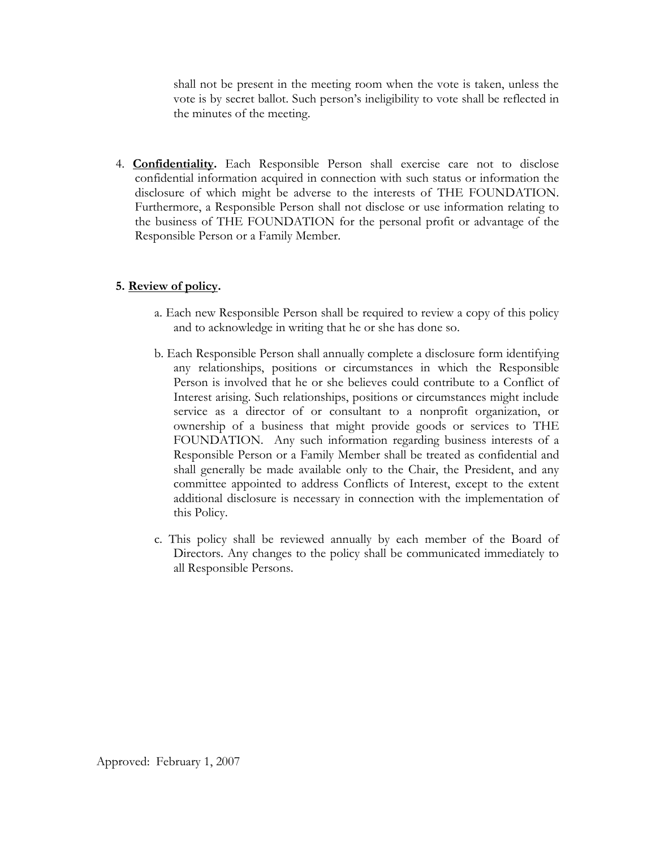shall not be present in the meeting room when the vote is taken, unless the vote is by secret ballot. Such person's ineligibility to vote shall be reflected in the minutes of the meeting.

4. **Confidentiality.** Each Responsible Person shall exercise care not to disclose confidential information acquired in connection with such status or information the disclosure of which might be adverse to the interests of THE FOUNDATION. Furthermore, a Responsible Person shall not disclose or use information relating to the business of THE FOUNDATION for the personal profit or advantage of the Responsible Person or a Family Member.

# **5. Review of policy.**

- a. Each new Responsible Person shall be required to review a copy of this policy and to acknowledge in writing that he or she has done so.
- b. Each Responsible Person shall annually complete a disclosure form identifying any relationships, positions or circumstances in which the Responsible Person is involved that he or she believes could contribute to a Conflict of Interest arising. Such relationships, positions or circumstances might include service as a director of or consultant to a nonprofit organization, or ownership of a business that might provide goods or services to THE FOUNDATION. Any such information regarding business interests of a Responsible Person or a Family Member shall be treated as confidential and shall generally be made available only to the Chair, the President, and any committee appointed to address Conflicts of Interest, except to the extent additional disclosure is necessary in connection with the implementation of this Policy.
- c. This policy shall be reviewed annually by each member of the Board of Directors. Any changes to the policy shall be communicated immediately to all Responsible Persons.